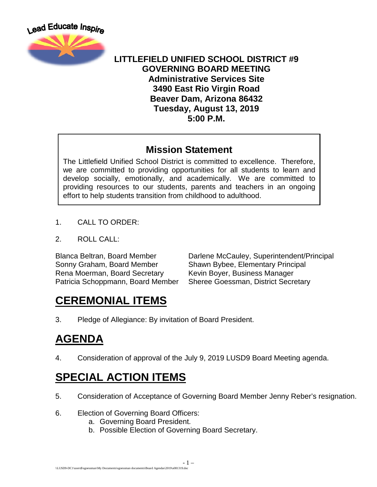

#### **LITTLEFIELD UNIFIED SCHOOL DISTRICT #9 GOVERNING BOARD MEETING Administrative Services Site 3490 East Rio Virgin Road Beaver Dam, Arizona 86432 Tuesday, August 13, 2019 5:00 P.M.**

#### **Mission Statement**

The Littlefield Unified School District is committed to excellence. Therefore, we are committed to providing opportunities for all students to learn and develop socially, emotionally, and academically. We are committed to providing resources to our students, parents and teachers in an ongoing effort to help students transition from childhood to adulthood.

- 1. CALL TO ORDER:
- 2. ROLL CALL:

Sonny Graham, Board Member Shawn Bybee, Elementary Principal Rena Moerman, Board Secretary Kevin Boyer, Business Manager Patricia Schoppmann, Board Member Sheree Goessman, District Secretary

Blanca Beltran, Board Member Darlene McCauley, Superintendent/Principal

# **CEREMONIAL ITEMS**

3. Pledge of Allegiance: By invitation of Board President.

# **AGENDA**

4. Consideration of approval of the July 9, 2019 LUSD9 Board Meeting agenda.

# **SPECIAL ACTION ITEMS**

- 5. Consideration of Acceptance of Governing Board Member Jenny Reber's resignation.
- 6. Election of Governing Board Officers:
	- a. Governing Board President.
	- b. Possible Election of Governing Board Secretary.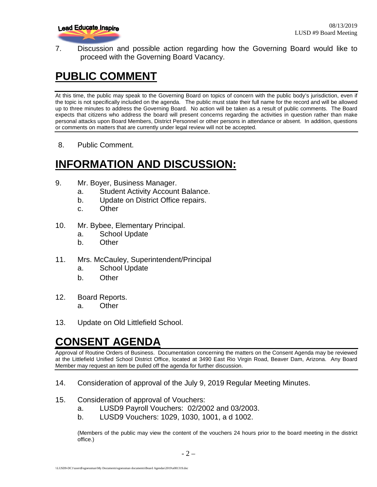

7. Discussion and possible action regarding how the Governing Board would like to proceed with the Governing Board Vacancy.

# **PUBLIC COMMENT**

At this time, the public may speak to the Governing Board on topics of concern with the public body's jurisdiction, even if the topic is not specifically included on the agenda. The public must state their full name for the record and will be allowed up to three minutes to address the Governing Board. No action will be taken as a result of public comments. The Board expects that citizens who address the board will present concerns regarding the activities in question rather than make personal attacks upon Board Members, District Personnel or other persons in attendance or absent. In addition, questions or comments on matters that are currently under legal review will not be accepted.

8. Public Comment.

## **INFORMATION AND DISCUSSION:**

- 9. Mr. Boyer, Business Manager.
	- a. Student Activity Account Balance.
	- b. Update on District Office repairs.
	- c. Other
- 10. Mr. Bybee, Elementary Principal.
	- a. School Update
	- b. Other
- 11. Mrs. McCauley, Superintendent/Principal
	- a. School Update
	- b. Other
- 12. Board Reports. a. Other
- 13. Update on Old Littlefield School.

## **CONSENT AGENDA**

Approval of Routine Orders of Business. Documentation concerning the matters on the Consent Agenda may be reviewed at the Littlefield Unified School District Office, located at 3490 East Rio Virgin Road, Beaver Dam, Arizona. Any Board Member may request an item be pulled off the agenda for further discussion.

- 14. Consideration of approval of the July 9, 2019 Regular Meeting Minutes.
- 15. Consideration of approval of Vouchers:
	- a. LUSD9 Payroll Vouchers: 02/2002 and 03/2003.
	- b. LUSD9 Vouchers: 1029, 1030, 1001, a d 1002.

(Members of the public may view the content of the vouchers 24 hours prior to the board meeting in the district office.)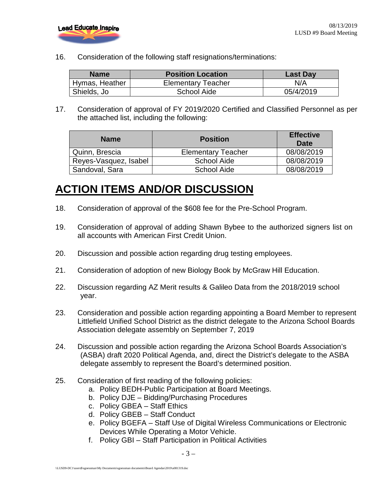

16. Consideration of the following staff resignations/terminations:

| <b>Name</b>    | <b>Position Location</b>  | <b>Last Day</b> |
|----------------|---------------------------|-----------------|
| Hymas, Heather | <b>Elementary Teacher</b> | N/A             |
| Shields, Jo    | School Aide               | 05/4/2019       |

17. Consideration of approval of FY 2019/2020 Certified and Classified Personnel as per the attached list, including the following:

| <b>Name</b>           | <b>Position</b>           | <b>Effective</b><br>Date |
|-----------------------|---------------------------|--------------------------|
| Quinn, Brescia        | <b>Elementary Teacher</b> | 08/08/2019               |
| Reyes-Vasquez, Isabel | <b>School Aide</b>        | 08/08/2019               |
| Sandoval, Sara        | School Aide               | 08/08/2019               |

### **ACTION ITEMS AND/OR DISCUSSION**

- 18. Consideration of approval of the \$608 fee for the Pre-School Program.
- 19. Consideration of approval of adding Shawn Bybee to the authorized signers list on all accounts with American First Credit Union.
- 20. Discussion and possible action regarding drug testing employees.
- 21. Consideration of adoption of new Biology Book by McGraw Hill Education.
- 22. Discussion regarding AZ Merit results & Galileo Data from the 2018/2019 school year.
- 23. Consideration and possible action regarding appointing a Board Member to represent Littlefield Unified School District as the district delegate to the Arizona School Boards Association delegate assembly on September 7, 2019
- 24. Discussion and possible action regarding the Arizona School Boards Association's (ASBA) draft 2020 Political Agenda, and, direct the District's delegate to the ASBA delegate assembly to represent the Board's determined position.
- 25. Consideration of first reading of the following policies:
	- a. Policy BEDH-Public Participation at Board Meetings.
	- b. Policy DJE Bidding/Purchasing Procedures
	- c. Policy GBEA Staff Ethics
	- d. Policy GBEB Staff Conduct
	- e. Policy BGEFA Staff Use of Digital Wireless Communications or Electronic Devices While Operating a Motor Vehicle.
	- f. Policy GBI Staff Participation in Political Activities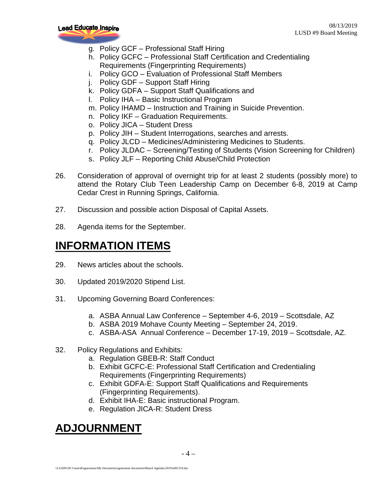

- g. Policy GCF Professional Staff Hiring
- h. Policy GCFC Professional Staff Certification and Credentialing Requirements (Fingerprinting Requirements)
- i. Policy GCO Evaluation of Professional Staff Members
- j. Policy GDF Support Staff Hiring
- k. Policy GDFA Support Staff Qualifications and
- l. Policy IHA Basic Instructional Program
- m. Policy IHAMD Instruction and Training in Suicide Prevention.
- n. Policy IKF Graduation Requirements.
- o. Policy JICA Student Dress
- p. Policy JIH Student Interrogations, searches and arrests.
- q. Policy JLCD Medicines/Administering Medicines to Students.
- r. Policy JLDAC Screening/Testing of Students (Vision Screening for Children)
- s. Policy JLF Reporting Child Abuse/Child Protection
- 26. Consideration of approval of overnight trip for at least 2 students (possibly more) to attend the Rotary Club Teen Leadership Camp on December 6-8, 2019 at Camp Cedar Crest in Running Springs, California.
- 27. Discussion and possible action Disposal of Capital Assets.
- 28. Agenda items for the September.

#### **INFORMATION ITEMS**

- 29. News articles about the schools.
- 30. Updated 2019/2020 Stipend List.
- 31. Upcoming Governing Board Conferences:
	- a. ASBA Annual Law Conference September 4-6, 2019 Scottsdale, AZ
	- b. ASBA 2019 Mohave County Meeting September 24, 2019.
	- c. ASBA-ASA Annual Conference December 17-19, 2019 Scottsdale, AZ.
- 32. Policy Regulations and Exhibits:
	- a. Regulation GBEB-R: Staff Conduct
	- b. Exhibit GCFC-E: Professional Staff Certification and Credentialing Requirements (Fingerprinting Requirements)
	- c. Exhibit GDFA-E: Support Staff Qualifications and Requirements (Fingerprinting Requirements).
	- d. Exhibit IHA-E: Basic instructional Program.
	- e. Regulation JICA-R: Student Dress

### **ADJOURNMENT**